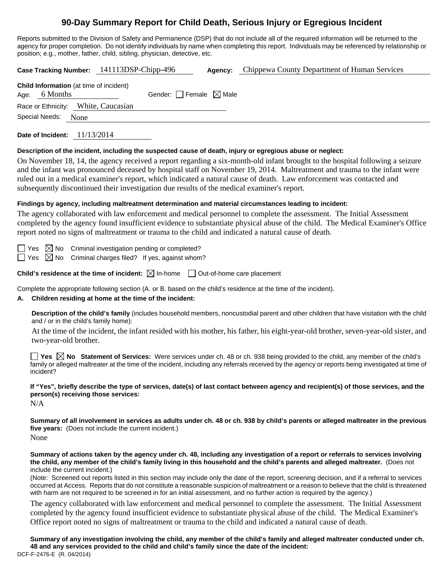# **90-Day Summary Report for Child Death, Serious Injury or Egregious Incident**

Reports submitted to the Division of Safety and Permanence (DSP) that do not include all of the required information will be returned to the agency for proper completion. Do not identify individuals by name when completing this report. Individuals may be referenced by relationship or position; e.g., mother, father, child, sibling, physician, detective, etc.

**Case Tracking Number:** 141113DSP-Chipp-496 **Agency:** Chippewa County Department of Human Services **Child Information** (at time of incident) Age: 6 Months Gender:  $\Box$  Female  $\boxtimes$  Male Race or Ethnicity: White, Caucasian Special Needs: None **Date of Incident:** 11/13/2014

#### **Description of the incident, including the suspected cause of death, injury or egregious abuse or neglect:**

On November 18, 14, the agency received a report regarding a six-month-old infant brought to the hospital following a seizure and the infant was pronounced deceased by hospital staff on November 19, 2014. Maltreatment and trauma to the infant were ruled out in a medical examiner's report, which indicated a natural cause of death. Law enforcement was contacted and subsequently discontinued their investigation due results of the medical examiner's report.

### **Findings by agency, including maltreatment determination and material circumstances leading to incident:**

The agency collaborated with law enforcement and medical personnel to complete the assessment. The Initial Assessment completed by the agency found insufficient evidence to substantiate physical abuse of the child. The Medical Examiner's Office report noted no signs of maltreatment or trauma to the child and indicated a natural cause of death.

 $\Box$  Yes  $\boxtimes$  No Criminal investigation pending or completed?

 $\Box$  Yes  $\boxtimes$  No Criminal charges filed? If yes, against whom?

**Child's residence at the time of incident:**  $\boxtimes$  In-home  $\Box$  Out-of-home care placement

Complete the appropriate following section (A. or B. based on the child's residence at the time of the incident).

### **A. Children residing at home at the time of the incident:**

**Description of the child's family** (includes household members, noncustodial parent and other children that have visitation with the child and / or in the child's family home):

 At the time of the incident, the infant resided with his mother, his father, his eight-year-old brother, seven-year-old sister, and two-year-old brother.

**Yes No Statement of Services:** Were services under ch. 48 or ch. 938 being provided to the child, any member of the child's family or alleged maltreater at the time of the incident, including any referrals received by the agency or reports being investigated at time of incident?

# **If "Yes", briefly describe the type of services, date(s) of last contact between agency and recipient(s) of those services, and the person(s) receiving those services:**

N/A

**Summary of all involvement in services as adults under ch. 48 or ch. 938 by child's parents or alleged maltreater in the previous five years:** (Does not include the current incident.)

None

**Summary of actions taken by the agency under ch. 48, including any investigation of a report or referrals to services involving the child, any member of the child's family living in this household and the child's parents and alleged maltreater.** (Does not include the current incident.)

(Note: Screened out reports listed in this section may include only the date of the report, screening decision, and if a referral to services occurred at Access. Reports that do not constitute a reasonable suspicion of maltreatment or a reason to believe that the child is threatened with harm are not required to be screened in for an initial assessment, and no further action is required by the agency.)

The agency collaborated with law enforcement and medical personnel to complete the assessment. The Initial Assessment completed by the agency found insufficient evidence to substantiate physical abuse of the child. The Medical Examiner's Office report noted no signs of maltreatment or trauma to the child and indicated a natural cause of death.

DCF-F-2476-E (R. 04/2014) **Summary of any investigation involving the child, any member of the child's family and alleged maltreater conducted under ch. 48 and any services provided to the child and child's family since the date of the incident:**